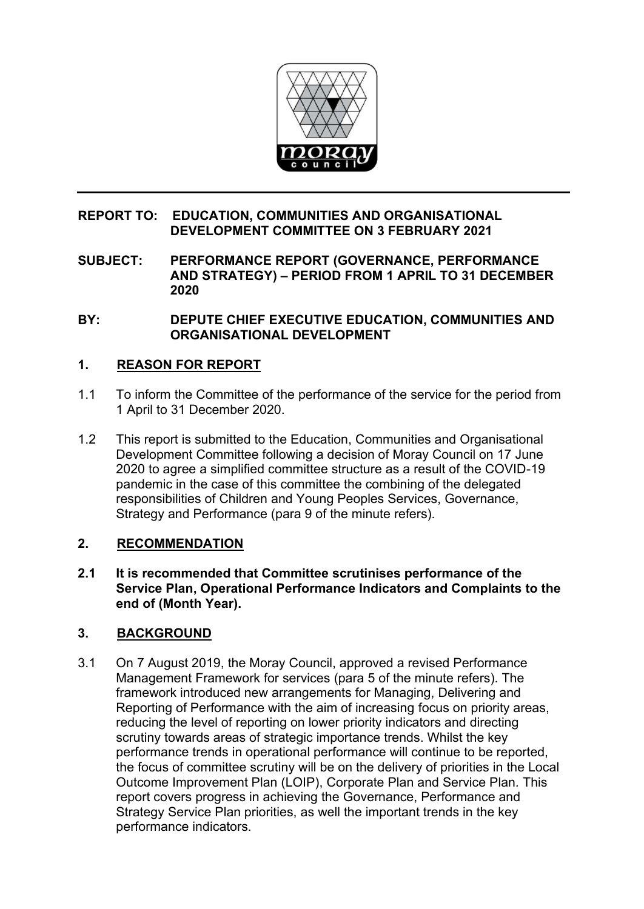

### **REPORT TO: EDUCATION, COMMUNITIES AND ORGANISATIONAL DEVELOPMENT COMMITTEE ON 3 FEBRUARY 2021**

**SUBJECT: PERFORMANCE REPORT (GOVERNANCE, PERFORMANCE AND STRATEGY) – PERIOD FROM 1 APRIL TO 31 DECEMBER 2020** 

**BY: DEPUTE CHIEF EXECUTIVE EDUCATION, COMMUNITIES AND ORGANISATIONAL DEVELOPMENT** 

# **1. REASON FOR REPORT**

- 1.1 To inform the Committee of the performance of the service for the period from 1 April to 31 December 2020.
- 1.2 This report is submitted to the Education, Communities and Organisational Development Committee following a decision of Moray Council on 17 June 2020 to agree a simplified committee structure as a result of the COVID-19 pandemic in the case of this committee the combining of the delegated responsibilities of Children and Young Peoples Services, Governance, Strategy and Performance (para 9 of the minute refers).

# **2. RECOMMENDATION**

**2.1 It is recommended that Committee scrutinises performance of the Service Plan, Operational Performance Indicators and Complaints to the end of (Month Year).** 

# **3. BACKGROUND**

3.1 On 7 August 2019, the Moray Council, approved a revised Performance Management Framework for services (para 5 of the minute refers). The framework introduced new arrangements for Managing, Delivering and Reporting of Performance with the aim of increasing focus on priority areas, reducing the level of reporting on lower priority indicators and directing scrutiny towards areas of strategic importance trends. Whilst the key performance trends in operational performance will continue to be reported, the focus of committee scrutiny will be on the delivery of priorities in the Local Outcome Improvement Plan (LOIP), Corporate Plan and Service Plan. This report covers progress in achieving the Governance, Performance and Strategy Service Plan priorities, as well the important trends in the key performance indicators.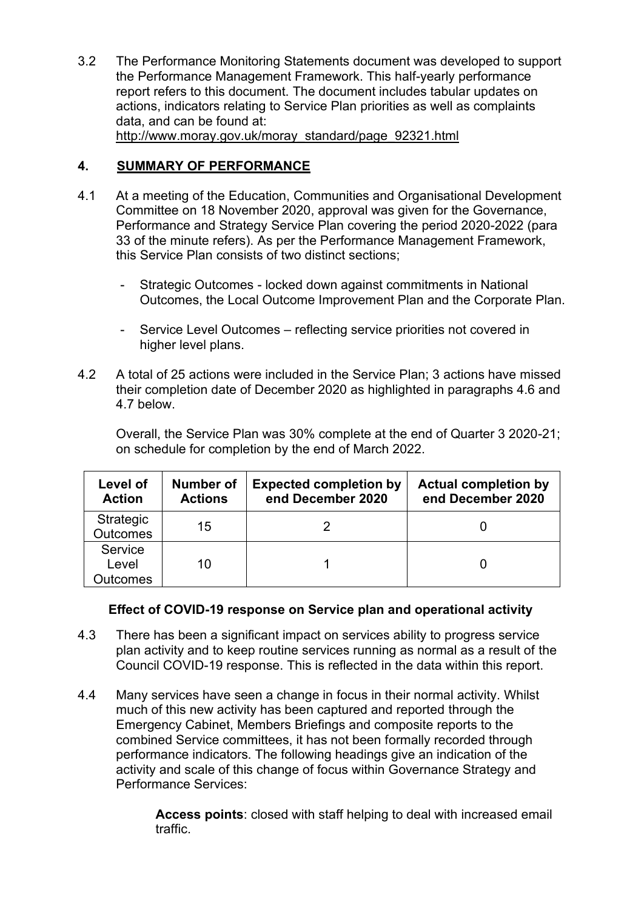3.2 The Performance Monitoring Statements document was developed to support the Performance Management Framework. This half-yearly performance report refers to this document. The document includes tabular updates on actions, indicators relating to Service Plan priorities as well as complaints data, and can be found at: [http://www.moray.gov.uk/moray\\_standard/page\\_92321.html](http://www.moray.gov.uk/moray_standard/page_92321.html) 

# **4. SUMMARY OF PERFORMANCE**

- 4.1 At a meeting of the Education, Communities and Organisational Development Committee on 18 November 2020, approval was given for the Governance, Performance and Strategy Service Plan covering the period 2020-2022 (para 33 of the minute refers). As per the Performance Management Framework, this Service Plan consists of two distinct sections;
	- Strategic Outcomes locked down against commitments in National Outcomes, the Local Outcome Improvement Plan and the Corporate Plan.
	- Service Level Outcomes reflecting service priorities not covered in higher level plans.
- 4.2 A total of 25 actions were included in the Service Plan; 3 actions have missed their completion date of December 2020 as highlighted in paragraphs 4.6 and 4.7 below.

Overall, the Service Plan was 30% complete at the end of Quarter 3 2020-21; on schedule for completion by the end of March 2022.

| Level of<br><b>Action</b>    | Number of<br><b>Actions</b> | <b>Expected completion by</b><br>end December 2020 | <b>Actual completion by</b><br>end December 2020 |
|------------------------------|-----------------------------|----------------------------------------------------|--------------------------------------------------|
| Strategic<br><b>Outcomes</b> | 15                          |                                                    |                                                  |
| Service<br>Level<br>utcomes  | 10                          |                                                    |                                                  |

### **Effect of COVID-19 response on Service plan and operational activity**

- 4.3 There has been a significant impact on services ability to progress service plan activity and to keep routine services running as normal as a result of the Council COVID-19 response. This is reflected in the data within this report.
- 4.4 Many services have seen a change in focus in their normal activity. Whilst much of this new activity has been captured and reported through the Emergency Cabinet, Members Briefings and composite reports to the combined Service committees, it has not been formally recorded through performance indicators. The following headings give an indication of the activity and scale of this change of focus within Governance Strategy and Performance Services:

**Access points**: closed with staff helping to deal with increased email traffic.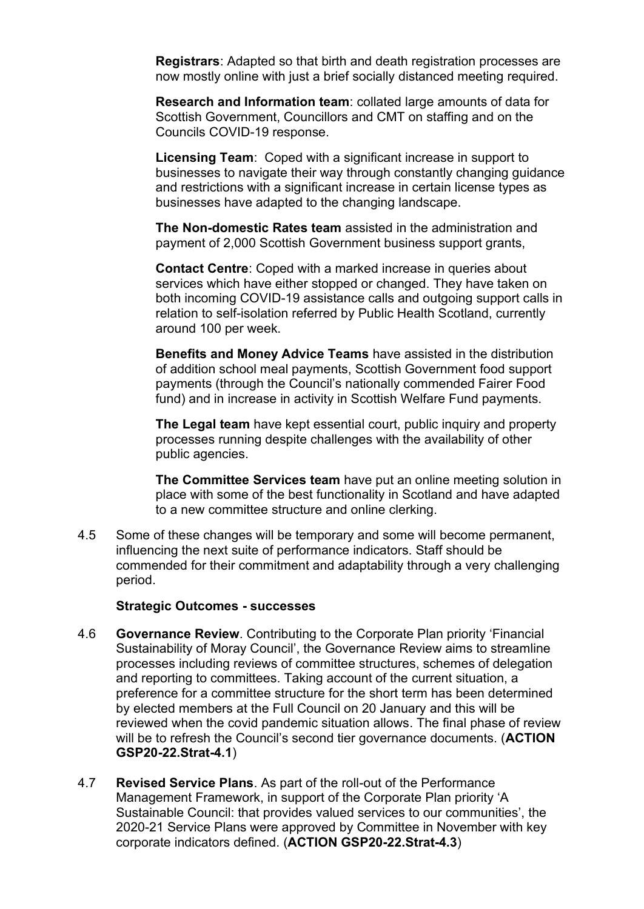**Registrars**: Adapted so that birth and death registration processes are now mostly online with just a brief socially distanced meeting required.

**Research and Information team**: collated large amounts of data for Scottish Government, Councillors and CMT on staffing and on the Councils COVID-19 response.

**Licensing Team**: Coped with a significant increase in support to businesses to navigate their way through constantly changing guidance and restrictions with a significant increase in certain license types as businesses have adapted to the changing landscape.

**The Non-domestic Rates team** assisted in the administration and payment of 2,000 Scottish Government business support grants,

**Contact Centre**: Coped with a marked increase in queries about services which have either stopped or changed. They have taken on both incoming COVID-19 assistance calls and outgoing support calls in relation to self-isolation referred by Public Health Scotland, currently around 100 per week.

**Benefits and Money Advice Teams** have assisted in the distribution of addition school meal payments, Scottish Government food support payments (through the Council's nationally commended Fairer Food fund) and in increase in activity in Scottish Welfare Fund payments.

**The Legal team** have kept essential court, public inquiry and property processes running despite challenges with the availability of other public agencies.

**The Committee Services team** have put an online meeting solution in place with some of the best functionality in Scotland and have adapted to a new committee structure and online clerking.

4.5 Some of these changes will be temporary and some will become permanent, influencing the next suite of performance indicators. Staff should be commended for their commitment and adaptability through a very challenging period.

#### **Strategic Outcomes - successes**

- 4.6 **Governance Review**. Contributing to the Corporate Plan priority 'Financial Sustainability of Moray Council', the Governance Review aims to streamline processes including reviews of committee structures, schemes of delegation and reporting to committees. Taking account of the current situation, a preference for a committee structure for the short term has been determined by elected members at the Full Council on 20 January and this will be reviewed when the covid pandemic situation allows. The final phase of review will be to refresh the Council's second tier governance documents. (**ACTION GSP20-22.Strat-4.1**)
- 4.7 **Revised Service Plans**. As part of the roll-out of the Performance Management Framework, in support of the Corporate Plan priority 'A Sustainable Council: that provides valued services to our communities', the 2020-21 Service Plans were approved by Committee in November with key corporate indicators defined. (**ACTION GSP20-22.Strat-4.3**)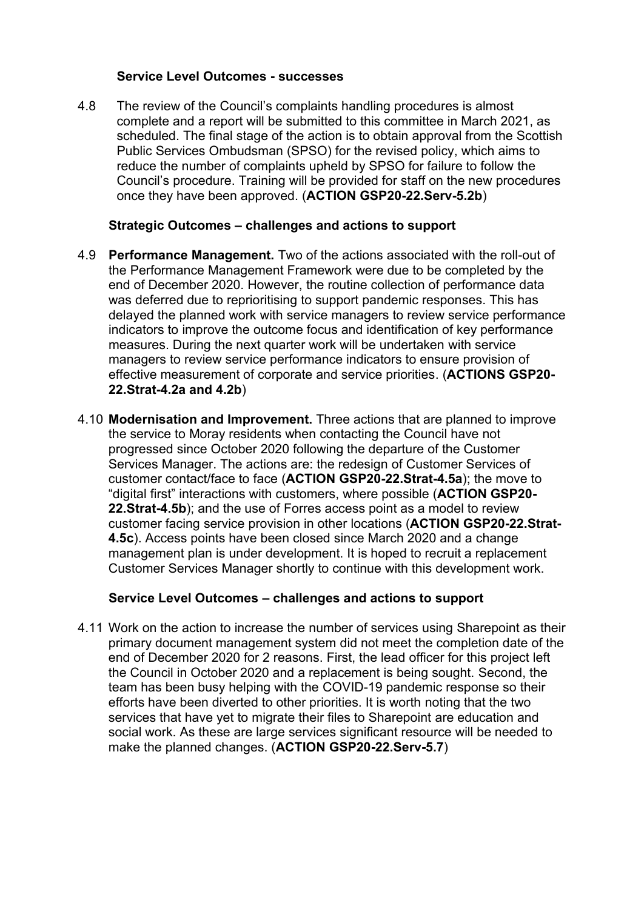#### **Service Level Outcomes - successes**

4.8 The review of the Council's complaints handling procedures is almost complete and a report will be submitted to this committee in March 2021, as scheduled. The final stage of the action is to obtain approval from the Scottish Public Services Ombudsman (SPSO) for the revised policy, which aims to reduce the number of complaints upheld by SPSO for failure to follow the Council's procedure. Training will be provided for staff on the new procedures once they have been approved. (**ACTION GSP20-22.Serv-5.2b**)

#### **Strategic Outcomes – challenges and actions to support**

- 4.9 **Performance Management.** Two of the actions associated with the roll-out of the Performance Management Framework were due to be completed by the end of December 2020. However, the routine collection of performance data was deferred due to reprioritising to support pandemic responses. This has delayed the planned work with service managers to review service performance indicators to improve the outcome focus and identification of key performance measures. During the next quarter work will be undertaken with service managers to review service performance indicators to ensure provision of effective measurement of corporate and service priorities. (**ACTIONS GSP20- 22.Strat-4.2a and 4.2b**)
- 4.10 **Modernisation and Improvement.** Three actions that are planned to improve the service to Moray residents when contacting the Council have not progressed since October 2020 following the departure of the Customer Services Manager. The actions are: the redesign of Customer Services of customer contact/face to face (**ACTION GSP20-22.Strat-4.5a**); the move to "digital first" interactions with customers, where possible (**ACTION GSP20- 22.Strat-4.5b**); and the use of Forres access point as a model to review customer facing service provision in other locations (**ACTION GSP20-22.Strat-4.5c**). Access points have been closed since March 2020 and a change management plan is under development. It is hoped to recruit a replacement Customer Services Manager shortly to continue with this development work.

### **Service Level Outcomes – challenges and actions to support**

4.11 Work on the action to increase the number of services using Sharepoint as their primary document management system did not meet the completion date of the end of December 2020 for 2 reasons. First, the lead officer for this project left the Council in October 2020 and a replacement is being sought. Second, the team has been busy helping with the COVID-19 pandemic response so their efforts have been diverted to other priorities. It is worth noting that the two services that have yet to migrate their files to Sharepoint are education and social work. As these are large services significant resource will be needed to make the planned changes. (**ACTION GSP20-22.Serv-5.7**)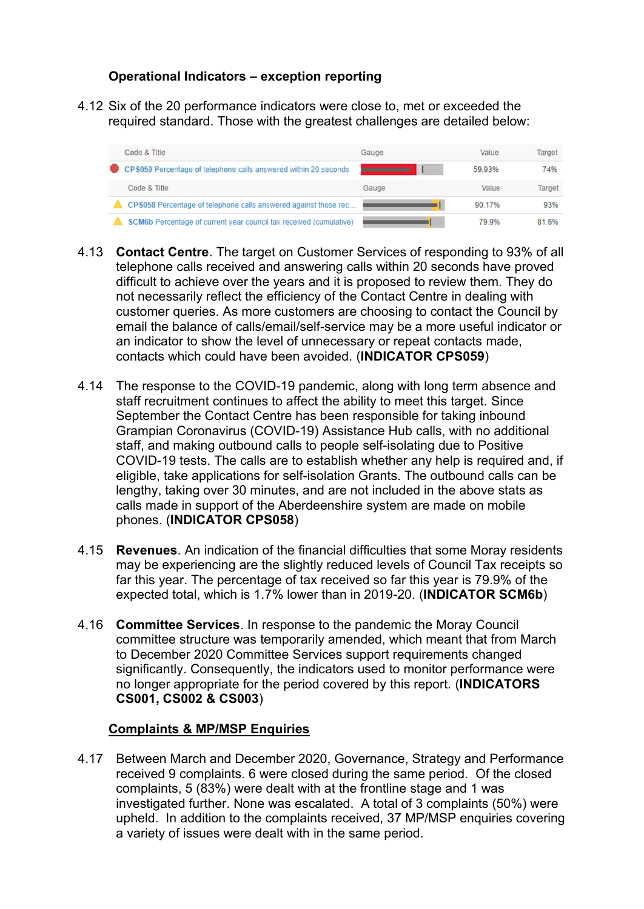# **Operational Indicators – exception reporting**

4.12 Six of the 20 performance indicators were close to, met or exceeded the required standard. Those with the greatest challenges are detailed below:

| Code & Title                                                       | Gauge | Value  | Target |
|--------------------------------------------------------------------|-------|--------|--------|
| CPS059 Percentage of telephone calls answered within 20 seconds    |       | 59.93% | 74%    |
| Code & Title                                                       | Gauge | Value  | Target |
| CPS058 Percentage of telephone calls answered against those rec    |       | 90.17% | 93%    |
| SCM6b Percentage of current year council tax received (cumulative) |       | 79.9%  | 81.6%  |

- 4.13 **Contact Centre**. The target on Customer Services of responding to 93% of all telephone calls received and answering calls within 20 seconds have proved difficult to achieve over the years and it is proposed to review them. They do not necessarily reflect the efficiency of the Contact Centre in dealing with customer queries. As more customers are choosing to contact the Council by email the balance of calls/email/self-service may be a more useful indicator or an indicator to show the level of unnecessary or repeat contacts made, contacts which could have been avoided. (**INDICATOR CPS059**)
- 4.14 The response to the COVID-19 pandemic, along with long term absence and staff recruitment continues to affect the ability to meet this target. Since September the Contact Centre has been responsible for taking inbound Grampian Coronavirus (COVID-19) Assistance Hub calls, with no additional staff, and making outbound calls to people self-isolating due to Positive COVID-19 tests. The calls are to establish whether any help is required and, if eligible, take applications for self-isolation Grants. The outbound calls can be lengthy, taking over 30 minutes, and are not included in the above stats as calls made in support of the Aberdeenshire system are made on mobile phones. (**INDICATOR CPS058**)
- 4.15 **Revenues**. An indication of the financial difficulties that some Moray residents may be experiencing are the slightly reduced levels of Council Tax receipts so far this year. The percentage of tax received so far this year is 79.9% of the expected total, which is 1.7% lower than in 2019-20. (**INDICATOR SCM6b**)
- 4.16 **Committee Services**. In response to the pandemic the Moray Council committee structure was temporarily amended, which meant that from March to December 2020 Committee Services support requirements changed significantly. Consequently, the indicators used to monitor performance were no longer appropriate for the period covered by this report. (**INDICATORS CS001, CS002 & CS003**)

# **Complaints & MP/MSP Enquiries**

4.17 Between March and December 2020, Governance, Strategy and Performance received 9 complaints. 6 were closed during the same period. Of the closed complaints, 5 (83%) were dealt with at the frontline stage and 1 was investigated further. None was escalated. A total of 3 complaints (50%) were upheld. In addition to the complaints received, 37 MP/MSP enquiries covering a variety of issues were dealt with in the same period.